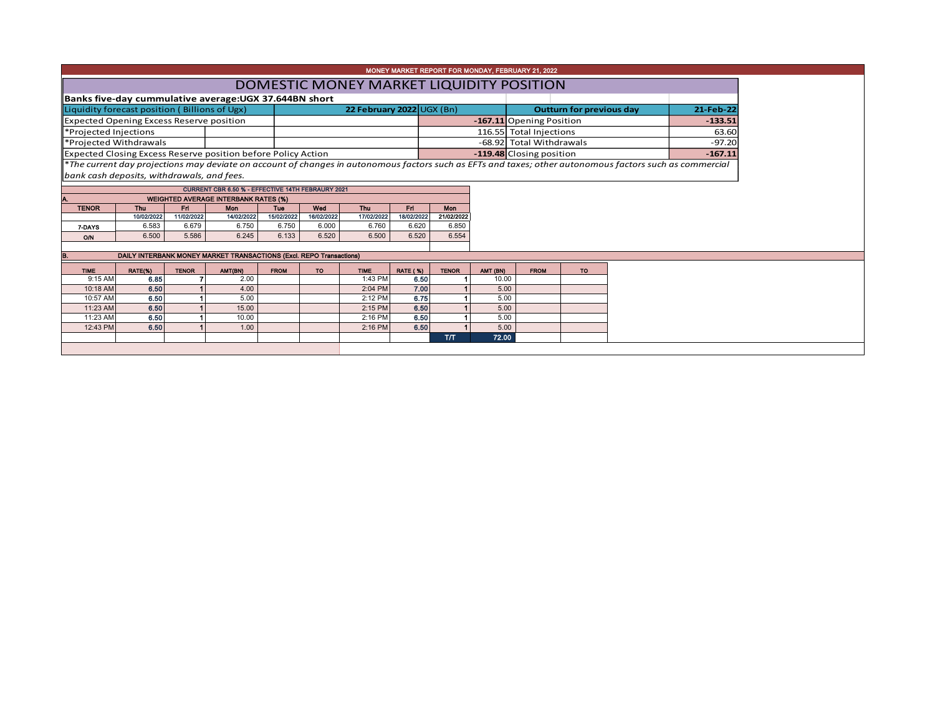|                                                               |                          |                   |                                                                     |                   |                   |                           |                          | MONEY MARKET REPORT FOR MONDAY, FEBRUARY 21, 2022 |                          |                          |  |                                 |                                                                                                                                                          |  |           |
|---------------------------------------------------------------|--------------------------|-------------------|---------------------------------------------------------------------|-------------------|-------------------|---------------------------|--------------------------|---------------------------------------------------|--------------------------|--------------------------|--|---------------------------------|----------------------------------------------------------------------------------------------------------------------------------------------------------|--|-----------|
| DOMESTIC MONEY MARKET LIQUIDITY POSITION                      |                          |                   |                                                                     |                   |                   |                           |                          |                                                   |                          |                          |  |                                 |                                                                                                                                                          |  |           |
| Banks five-day cummulative average: UGX 37.644BN short        |                          |                   |                                                                     |                   |                   |                           |                          |                                                   |                          |                          |  |                                 |                                                                                                                                                          |  |           |
| Liquidity forecast position (Billions of Ugx)                 |                          |                   |                                                                     |                   |                   | 22 February 2022 UGX (Bn) |                          |                                                   |                          |                          |  | <b>Outturn for previous day</b> |                                                                                                                                                          |  | 21-Feb-22 |
| <b>Expected Opening Excess Reserve position</b>               |                          |                   |                                                                     |                   |                   |                           | -167.11 Opening Position |                                                   |                          |                          |  |                                 | $-133.51$                                                                                                                                                |  |           |
| *Projected Injections                                         |                          |                   |                                                                     |                   |                   |                           |                          |                                                   |                          | 116.55 Total Injections  |  |                                 |                                                                                                                                                          |  | 63.60     |
| *Projected Withdrawals                                        |                          |                   |                                                                     |                   |                   |                           |                          |                                                   |                          | -68.92 Total Withdrawals |  |                                 |                                                                                                                                                          |  | $-97.20$  |
| Expected Closing Excess Reserve position before Policy Action |                          |                   |                                                                     |                   |                   |                           |                          |                                                   | -119.48 Closing position |                          |  |                                 |                                                                                                                                                          |  | $-167.11$ |
|                                                               |                          |                   |                                                                     |                   |                   |                           |                          |                                                   |                          |                          |  |                                 | *The current day projections may deviate on account of changes in autonomous factors such as EFTs and taxes; other autonomous factors such as commercial |  |           |
|                                                               |                          |                   |                                                                     |                   |                   |                           |                          |                                                   |                          |                          |  |                                 |                                                                                                                                                          |  |           |
| bank cash deposits, withdrawals, and fees.                    |                          |                   |                                                                     |                   |                   |                           |                          |                                                   |                          |                          |  |                                 |                                                                                                                                                          |  |           |
| CURRENT CBR 6.50 % - EFFECTIVE 14TH FEBRAURY 2021             |                          |                   |                                                                     |                   |                   |                           |                          |                                                   |                          |                          |  |                                 |                                                                                                                                                          |  |           |
|                                                               |                          |                   | <b>WEIGHTED AVERAGE INTERBANK RATES (%)</b>                         |                   |                   |                           |                          |                                                   |                          |                          |  |                                 |                                                                                                                                                          |  |           |
| <b>TENOR</b>                                                  | <b>Thu</b><br>10/02/2022 | Fri<br>11/02/2022 | Mon<br>14/02/2022                                                   | Tue<br>15/02/2022 | Wed<br>16/02/2022 | Thu<br>17/02/2022         | Fri<br>18/02/2022        | Mon<br>21/02/2022                                 |                          |                          |  |                                 |                                                                                                                                                          |  |           |
| 7-DAYS                                                        | 6.583                    | 6.679             | 6.750                                                               | 6.750             | 6.000             | 6.760                     | 6.620                    | 6.850                                             |                          |                          |  |                                 |                                                                                                                                                          |  |           |
| O/N                                                           | 6.500                    | 5.586             | 6.245                                                               | 6.133             | 6.520             | 6.500                     | 6.520                    | 6.554                                             |                          |                          |  |                                 |                                                                                                                                                          |  |           |
|                                                               |                          |                   |                                                                     |                   |                   |                           |                          |                                                   |                          |                          |  |                                 |                                                                                                                                                          |  |           |
|                                                               |                          |                   | DAILY INTERBANK MONEY MARKET TRANSACTIONS (Excl. REPO Transactions) |                   |                   |                           |                          |                                                   |                          |                          |  |                                 |                                                                                                                                                          |  |           |
| <b>TIME</b>                                                   | RATE(%)                  | <b>TENOR</b>      | AMT(BN)                                                             | <b>FROM</b>       | <b>TO</b>         | <b>TIME</b>               | <b>RATE (%)</b>          | <b>TENOR</b>                                      | AMT (BN)                 | <b>FROM</b>              |  | <b>TO</b>                       |                                                                                                                                                          |  |           |
| $9:15$ AM                                                     | 6.85                     |                   | 2.00                                                                |                   |                   | 1:43 PM                   | 6.50                     |                                                   | 10.00                    |                          |  |                                 |                                                                                                                                                          |  |           |
| 10:18 AM                                                      | 6.50                     |                   | 4.00                                                                |                   |                   | 2:04 PM                   | 7.00                     |                                                   | 5.00                     |                          |  |                                 |                                                                                                                                                          |  |           |
| 10:57 AM                                                      | 6.50                     |                   | 5.00                                                                |                   |                   | 2:12 PM                   | 6.75                     |                                                   | 5.00                     |                          |  |                                 |                                                                                                                                                          |  |           |
| 11:23 AM                                                      | 6.50                     |                   | 15.00                                                               |                   |                   | 2:15 PM                   | 6.50                     |                                                   | 5.00                     |                          |  |                                 |                                                                                                                                                          |  |           |
| 11:23 AM                                                      | 6.50                     |                   | 10.00                                                               |                   |                   | 2:16 PM                   | 6.50                     |                                                   | 5.00                     |                          |  |                                 |                                                                                                                                                          |  |           |
| 12:43 PM                                                      | 6.50                     |                   | 1.00                                                                |                   |                   | 2:16 PM                   | 6.50                     |                                                   | 5.00                     |                          |  |                                 |                                                                                                                                                          |  |           |
|                                                               |                          |                   |                                                                     |                   |                   |                           |                          | <b>Т/Т</b>                                        | 72.00                    |                          |  |                                 |                                                                                                                                                          |  |           |
|                                                               |                          |                   |                                                                     |                   |                   |                           |                          |                                                   |                          |                          |  |                                 |                                                                                                                                                          |  |           |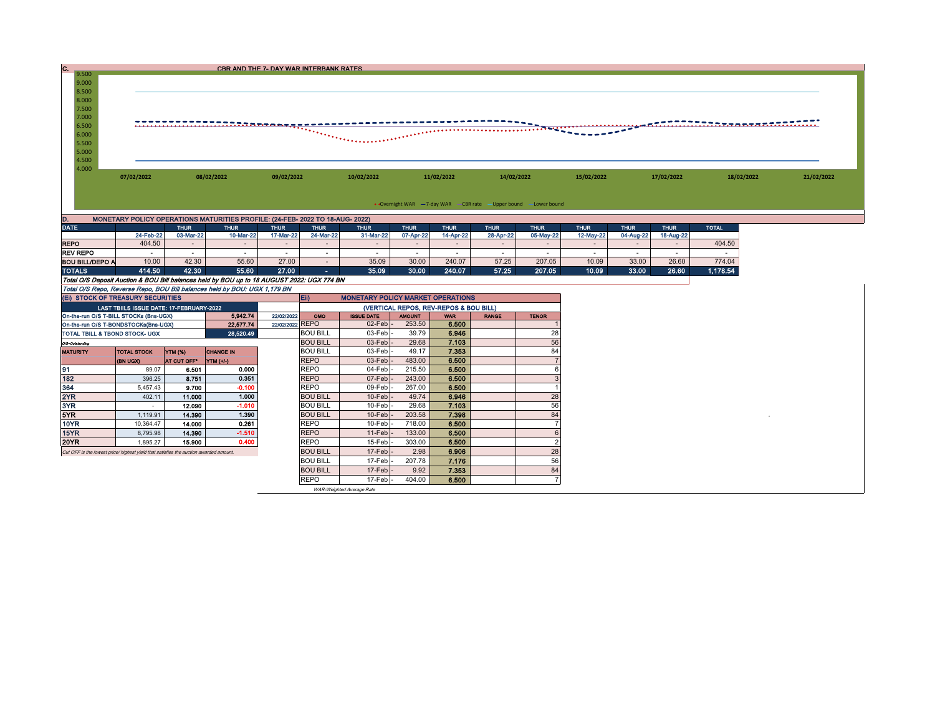| c. |                                                                                                          |            |            | CBR AND THE 7- DAY WAR INTERBANK RATES |            |            |                                                                   |            |            |                                                    |            |
|----|----------------------------------------------------------------------------------------------------------|------------|------------|----------------------------------------|------------|------------|-------------------------------------------------------------------|------------|------------|----------------------------------------------------|------------|
|    | 9.500<br>9.000<br>8.500<br>8.000<br>7.500<br>7.000<br>6.500<br>6.000<br>5.500<br>5.000<br>4.500<br>4.000 |            |            |                                        |            |            |                                                                   |            |            | ------------- <del>---------------------</del> --- |            |
|    |                                                                                                          | 07/02/2022 | 08/02/2022 | 09/02/2022                             | 10/02/2022 | 11/02/2022 | 14/02/2022                                                        | 15/02/2022 | 17/02/2022 | 18/02/2022                                         | 21/02/2022 |
|    |                                                                                                          |            |            |                                        |            |            | • Overnight WAR -7-day WAR - CBR rate - Upper bound - Lower bound |            |            |                                                    |            |

| υ.                     |           |             | MONETARY POLICY OPERATIONS MATURITIES PROFILE: (24-FEB- 2022 TO 18-AUG- 2022) |             |             |             |             |             |             |             |             |             |             |              |
|------------------------|-----------|-------------|-------------------------------------------------------------------------------|-------------|-------------|-------------|-------------|-------------|-------------|-------------|-------------|-------------|-------------|--------------|
| <b>DATE</b>            |           | <b>THUR</b> | <b>THUR</b>                                                                   | <b>THUR</b> | <b>THUR</b> | <b>THUR</b> | <b>THUR</b> | <b>THUR</b> | <b>THUR</b> | <b>THUR</b> | <b>THUR</b> | <b>THUR</b> | <b>THUR</b> | <b>TOTAL</b> |
|                        | 24-Feb-22 | 03-Mar-22   | 10-Mar-22                                                                     | 17-Mar-22   | 24-Mar-22   | 31-Mar-22   | 07-Apr-22   | 14-Apr-22   | 28-Apr-22   | 05-May-22   | 12-May-22   | 04-Aug-22   | 18-Aug-22   |              |
| <b>REPO</b>            | 404.50    |             |                                                                               |             |             |             |             |             |             |             |             |             |             | 404.50       |
| <b>REV REPO</b>        |           |             |                                                                               |             |             |             |             |             |             |             |             |             |             |              |
| <b>BOU BILL/DEPO A</b> | 10.00     | 42.30       | 55.60                                                                         | 27.00       |             | 35.09       | 30.00       | 240.07      | 57.25       | 207.05      | 10.09       | 33.00       | 26.60       | 774.04       |
| <b>TOTALS</b>          | 414.50    | 42.30       | 55.60                                                                         | 27.00       | - 1         | 35.09       | 30.00       | 240.07      | 57.25       | 207.05      | 10.09       | 33.00       | 26.60       | 1.178.54     |

| <b>TOTALS</b>                                                                        | 414.50                                   | 42.30              | 55.60                                                                                      | 27.00           | œ.              | 35.09                                    | 30.00                                  | 240.07     | 57.25        | 207.05       | 10.09 | 33.00 | 26.60 | 1,178.54 |
|--------------------------------------------------------------------------------------|------------------------------------------|--------------------|--------------------------------------------------------------------------------------------|-----------------|-----------------|------------------------------------------|----------------------------------------|------------|--------------|--------------|-------|-------|-------|----------|
|                                                                                      |                                          |                    | Total O/S Deposit Auction & BOU Bill balances held by BOU up to 18 AUGUST 2022: UGX 774 BN |                 |                 |                                          |                                        |            |              |              |       |       |       |          |
|                                                                                      |                                          |                    | Total O/S Repo, Reverse Repo, BOU Bill balances held by BOU: UGX 1,179 BN                  |                 |                 |                                          |                                        |            |              |              |       |       |       |          |
| (EI) STOCK OF TREASURY SECURITIES                                                    |                                          |                    |                                                                                            |                 | Eii)            | <b>MONETARY POLICY MARKET OPERATIONS</b> |                                        |            |              |              |       |       |       |          |
|                                                                                      | LAST TBIILS ISSUE DATE: 17-FEBRUARY-2022 |                    |                                                                                            |                 |                 |                                          | (VERTICAL REPOS, REV-REPOS & BOU BILL) |            |              |              |       |       |       |          |
| On-the-run O/S T-BILL STOCKs (Bns-UGX)                                               |                                          |                    | 5.942.74                                                                                   | 22/02/2022      | <b>OMO</b>      | <b>ISSUE DATE</b>                        | <b>AMOUNT</b>                          | <b>WAR</b> | <b>RANGE</b> | <b>TENOR</b> |       |       |       |          |
| On-the-run O/S T-BONDSTOCKs(Bns-UGX)                                                 |                                          |                    | 22.577.74                                                                                  | 22/02/2022 REPO |                 | $02$ -Feb $-$                            | 253.50                                 | 6.500      |              |              |       |       |       |          |
| TOTAL TBILL & TBOND STOCK- UGX                                                       |                                          |                    | 28,520.49                                                                                  |                 | <b>BOU BILL</b> | $03$ -Feb $\vert$ -                      | 39.79                                  | 6.946      |              | 28           |       |       |       |          |
| O/S=Outstanding                                                                      |                                          |                    |                                                                                            |                 | <b>BOU BILL</b> | $03$ -Feb $-$                            | 29.68                                  | 7.103      |              | 56           |       |       |       |          |
| <b>MATURITY</b>                                                                      | <b>TOTAL STOCK</b>                       | <b>YTM (%)</b>     | <b>CHANGE IN</b>                                                                           |                 | <b>BOU BILL</b> | 03-Feb                                   | 49.17                                  | 7.353      |              | 84           |       |       |       |          |
|                                                                                      | <b>(BN UGX)</b>                          | <b>AT CUT OFF*</b> | $YTM$ $(+/-)$                                                                              |                 | <b>REPO</b>     | $03$ -Feb                                | 483.00                                 | 6.500      |              |              |       |       |       |          |
| 91                                                                                   | 89.07                                    | 6.501              | 0.000                                                                                      |                 | <b>REPO</b>     | $04$ -Feb $\cdot$                        | 215.50                                 | 6.500      |              |              |       |       |       |          |
| 182                                                                                  | 396.25                                   | 8.751              | 0.351                                                                                      |                 | <b>REPO</b>     | 07-Feb                                   | 243.00                                 | 6.500      |              |              |       |       |       |          |
| 364                                                                                  | 5.457.43                                 | 9.700              | $-0.100$                                                                                   |                 | <b>REPO</b>     | 09-Feb                                   | 267.00                                 | 6.500      |              |              |       |       |       |          |
| 2YR                                                                                  | 402.11                                   | 11.000             | 1.000                                                                                      |                 | <b>BOU BILL</b> | $10$ -Feb $\vert$ -                      | 49.74                                  | 6.946      |              | 28           |       |       |       |          |
| 3YR                                                                                  |                                          | 12.090             | $-1.010$                                                                                   |                 | <b>BOU BILL</b> | $10$ -Feb $\cdot$                        | 29.68                                  | 7.103      |              | 56           |       |       |       |          |
| 5YR.                                                                                 | 1.119.91                                 | 14.390             | 1.390                                                                                      |                 | <b>BOU BILL</b> | $10$ -Feb                                | 203.58                                 | 7.398      |              | 84           |       |       |       |          |
| 10YR                                                                                 | 10.364.47                                | 14.000             | 0.261                                                                                      |                 | <b>REPO</b>     | $10$ -Feb                                | 718.00                                 | 6.500      |              |              |       |       |       |          |
| 15YR                                                                                 | 8,795.98                                 | 14.390             | $-1.510$                                                                                   |                 | <b>REPO</b>     | $11-Feb$                                 | 133.00                                 | 6.500      |              |              |       |       |       |          |
| 20YR                                                                                 | 1,895.27                                 | 15,900             | 0.400                                                                                      |                 | <b>REPO</b>     | $15$ -Feb $\cdot$                        | 303.00                                 | 6.500      |              | r            |       |       |       |          |
| Cut OFF is the lowest price/highest yield that satisfies the auction awarded amount. |                                          |                    |                                                                                            |                 | <b>BOU BILL</b> | $17$ -Feb $\vert$ -                      | 2.98                                   | 6.906      |              | 28           |       |       |       |          |
|                                                                                      |                                          |                    |                                                                                            |                 | <b>BOU BILL</b> | $17-Feb$                                 | 207.78                                 | 7.176      |              | 56           |       |       |       |          |
|                                                                                      |                                          |                    |                                                                                            |                 | <b>BOU BILL</b> | $17$ -Feb $\vert$ -                      | 9.92                                   | 7.353      |              | 84           |       |       |       |          |
|                                                                                      |                                          |                    |                                                                                            |                 | <b>REPO</b>     | $17$ -Feb $-$                            | 404.00                                 | 6.500      |              |              |       |       |       |          |
|                                                                                      |                                          |                    |                                                                                            |                 |                 |                                          |                                        |            |              |              |       |       |       |          |

WAR-Weighted Average Rate